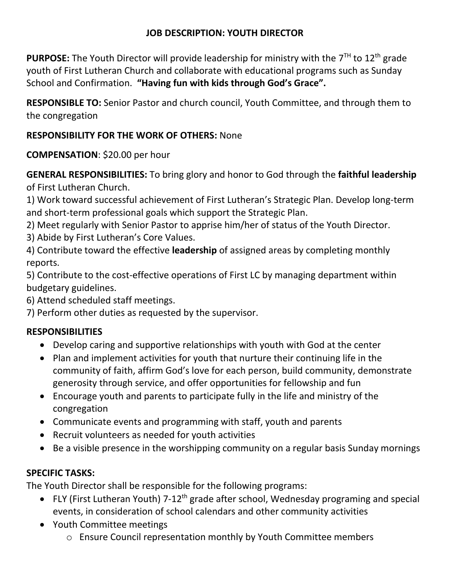# **JOB DESCRIPTION: YOUTH DIRECTOR**

**PURPOSE:** The Youth Director will provide leadership for ministry with the 7<sup>TH</sup> to 12<sup>th</sup> grade youth of First Lutheran Church and collaborate with educational programs such as Sunday School and Confirmation. **"Having fun with kids through God's Grace".**

**RESPONSIBLE TO:** Senior Pastor and church council, Youth Committee, and through them to the congregation

## **RESPONSIBILITY FOR THE WORK OF OTHERS:** None

**COMPENSATION**: \$20.00 per hour

**GENERAL RESPONSIBILITIES:** To bring glory and honor to God through the **faithful leadership** of First Lutheran Church.

1) Work toward successful achievement of First Lutheran's Strategic Plan. Develop long-term and short-term professional goals which support the Strategic Plan.

2) Meet regularly with Senior Pastor to apprise him/her of status of the Youth Director.

3) Abide by First Lutheran's Core Values.

4) Contribute toward the effective **leadership** of assigned areas by completing monthly reports.

5) Contribute to the cost-effective operations of First LC by managing department within budgetary guidelines.

6) Attend scheduled staff meetings.

7) Perform other duties as requested by the supervisor.

# **RESPONSIBILITIES**

- Develop caring and supportive relationships with youth with God at the center
- Plan and implement activities for youth that nurture their continuing life in the community of faith, affirm God's love for each person, build community, demonstrate generosity through service, and offer opportunities for fellowship and fun
- Encourage youth and parents to participate fully in the life and ministry of the congregation
- Communicate events and programming with staff, youth and parents
- Recruit volunteers as needed for youth activities
- Be a visible presence in the worshipping community on a regular basis Sunday mornings

### **SPECIFIC TASKS:**

The Youth Director shall be responsible for the following programs:

- FLY (First Lutheran Youth) 7-12<sup>th</sup> grade after school, Wednesday programing and special events, in consideration of school calendars and other community activities
- Youth Committee meetings
	- o Ensure Council representation monthly by Youth Committee members